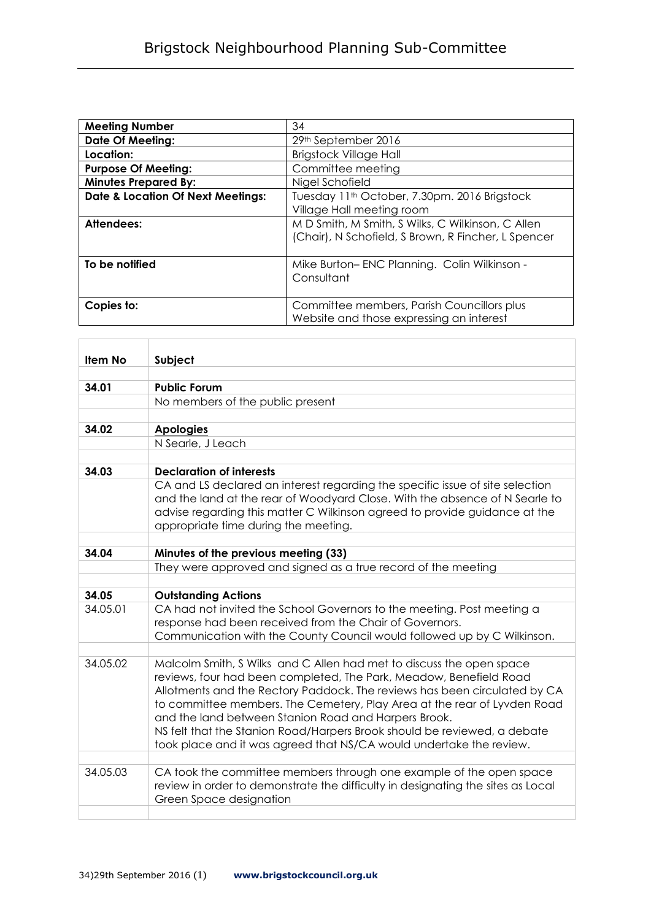| <b>Meeting Number</b>                        | 34                                                                                    |
|----------------------------------------------|---------------------------------------------------------------------------------------|
| <b>Date Of Meeting:</b>                      | 29th September 2016                                                                   |
| Location:                                    | <b>Brigstock Village Hall</b>                                                         |
| <b>Purpose Of Meeting:</b>                   | Committee meeting                                                                     |
| <b>Minutes Prepared By:</b>                  | Nigel Schofield                                                                       |
| <b>Date &amp; Location Of Next Meetings:</b> | Tuesday 11 <sup>th</sup> October, 7.30pm. 2016 Brigstock<br>Village Hall meeting room |
| Attendees:                                   | M D Smith, M Smith, S Wilks, C Wilkinson, C Allen                                     |
|                                              | (Chair), N Schofield, S Brown, R Fincher, L Spencer                                   |
| To be notified                               | Mike Burton-ENC Planning. Colin Wilkinson -                                           |
|                                              | Consultant                                                                            |
|                                              |                                                                                       |
| Copies to:                                   | Committee members, Parish Councillors plus                                            |
|                                              | Website and those expressing an interest                                              |

| Item No  | Subject                                                                                                                                                                                                                                                                                                                                                                                                                                                                                                        |
|----------|----------------------------------------------------------------------------------------------------------------------------------------------------------------------------------------------------------------------------------------------------------------------------------------------------------------------------------------------------------------------------------------------------------------------------------------------------------------------------------------------------------------|
|          |                                                                                                                                                                                                                                                                                                                                                                                                                                                                                                                |
| 34.01    | <b>Public Forum</b>                                                                                                                                                                                                                                                                                                                                                                                                                                                                                            |
|          | No members of the public present                                                                                                                                                                                                                                                                                                                                                                                                                                                                               |
|          |                                                                                                                                                                                                                                                                                                                                                                                                                                                                                                                |
| 34.02    | <b>Apologies</b>                                                                                                                                                                                                                                                                                                                                                                                                                                                                                               |
|          | N Searle, J Leach                                                                                                                                                                                                                                                                                                                                                                                                                                                                                              |
|          |                                                                                                                                                                                                                                                                                                                                                                                                                                                                                                                |
| 34.03    | <b>Declaration of interests</b>                                                                                                                                                                                                                                                                                                                                                                                                                                                                                |
|          | CA and LS declared an interest regarding the specific issue of site selection<br>and the land at the rear of Woodyard Close. With the absence of N Searle to<br>advise regarding this matter C Wilkinson agreed to provide guidance at the<br>appropriate time during the meeting.                                                                                                                                                                                                                             |
|          |                                                                                                                                                                                                                                                                                                                                                                                                                                                                                                                |
| 34.04    | Minutes of the previous meeting (33)                                                                                                                                                                                                                                                                                                                                                                                                                                                                           |
|          | They were approved and signed as a true record of the meeting                                                                                                                                                                                                                                                                                                                                                                                                                                                  |
|          |                                                                                                                                                                                                                                                                                                                                                                                                                                                                                                                |
| 34.05    | <b>Outstanding Actions</b>                                                                                                                                                                                                                                                                                                                                                                                                                                                                                     |
| 34.05.01 | CA had not invited the School Governors to the meeting. Post meeting a<br>response had been received from the Chair of Governors.<br>Communication with the County Council would followed up by C Wilkinson.                                                                                                                                                                                                                                                                                                   |
|          |                                                                                                                                                                                                                                                                                                                                                                                                                                                                                                                |
| 34.05.02 | Malcolm Smith, S Wilks and C Allen had met to discuss the open space<br>reviews, four had been completed, The Park, Meadow, Benefield Road<br>Allotments and the Rectory Paddock. The reviews has been circulated by CA<br>to committee members. The Cemetery, Play Area at the rear of Lyvden Road<br>and the land between Stanion Road and Harpers Brook.<br>NS felt that the Stanion Road/Harpers Brook should be reviewed, a debate<br>took place and it was agreed that NS/CA would undertake the review. |
|          |                                                                                                                                                                                                                                                                                                                                                                                                                                                                                                                |
| 34.05.03 | CA took the committee members through one example of the open space<br>review in order to demonstrate the difficulty in designating the sites as Local<br>Green Space designation                                                                                                                                                                                                                                                                                                                              |
|          |                                                                                                                                                                                                                                                                                                                                                                                                                                                                                                                |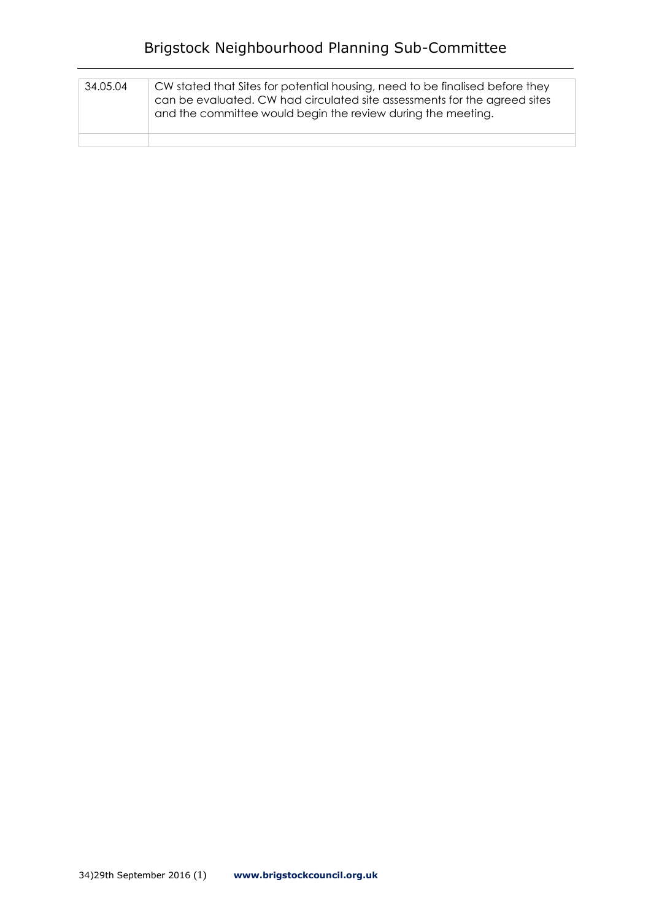## Brigstock Neighbourhood Planning Sub-Committee

| 34.05.04 | CW stated that Sites for potential housing, need to be finalised before they<br>can be evaluated. CW had circulated site assessments for the agreed sites<br>and the committee would begin the review during the meeting. |
|----------|---------------------------------------------------------------------------------------------------------------------------------------------------------------------------------------------------------------------------|
|          |                                                                                                                                                                                                                           |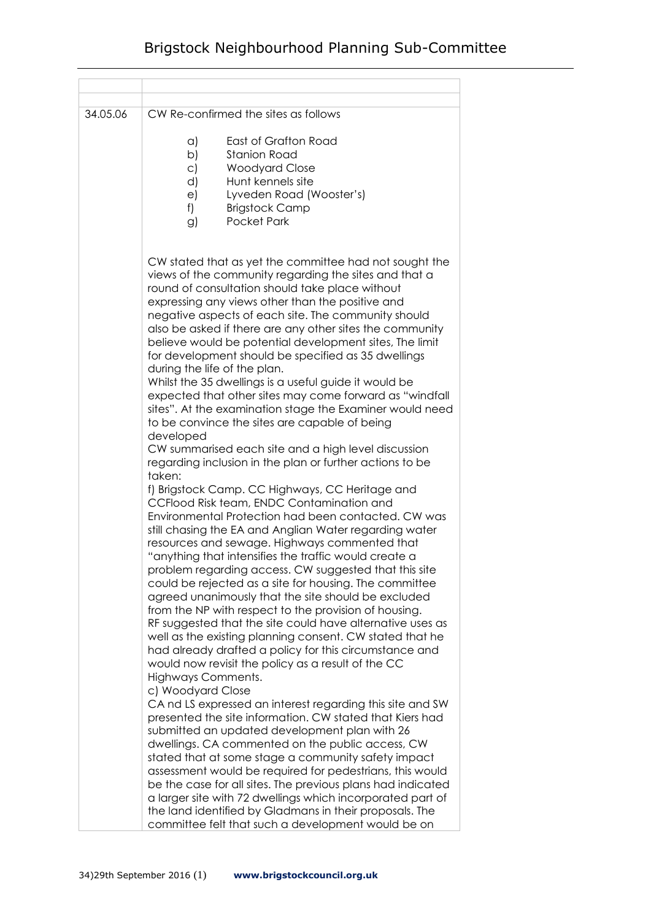| 34.05.06 | CW Re-confirmed the sites as follows                                                                                                                                                                                                                                                                                                                                                                                                                                                                                                                                                                                                                                                                                                                                                                                                                                                                                                                                                                                                                                                                                                                                                                                                                                                                                                                                                                                                                                                                                                                                                                                                                                          |
|----------|-------------------------------------------------------------------------------------------------------------------------------------------------------------------------------------------------------------------------------------------------------------------------------------------------------------------------------------------------------------------------------------------------------------------------------------------------------------------------------------------------------------------------------------------------------------------------------------------------------------------------------------------------------------------------------------------------------------------------------------------------------------------------------------------------------------------------------------------------------------------------------------------------------------------------------------------------------------------------------------------------------------------------------------------------------------------------------------------------------------------------------------------------------------------------------------------------------------------------------------------------------------------------------------------------------------------------------------------------------------------------------------------------------------------------------------------------------------------------------------------------------------------------------------------------------------------------------------------------------------------------------------------------------------------------------|
|          | a)<br>East of Grafton Road<br>b)<br><b>Stanion Road</b><br><b>Woodyard Close</b><br>$\subset$<br>Hunt kennels site<br>d)<br>Lyveden Road (Wooster's)<br>e)<br>f)<br><b>Brigstock Camp</b><br>Pocket Park<br>g)                                                                                                                                                                                                                                                                                                                                                                                                                                                                                                                                                                                                                                                                                                                                                                                                                                                                                                                                                                                                                                                                                                                                                                                                                                                                                                                                                                                                                                                                |
|          | CW stated that as yet the committee had not sought the<br>views of the community regarding the sites and that a<br>round of consultation should take place without<br>expressing any views other than the positive and<br>negative aspects of each site. The community should<br>also be asked if there are any other sites the community<br>believe would be potential development sites, The limit<br>for development should be specified as 35 dwellings<br>during the life of the plan.<br>Whilst the 35 dwellings is a useful guide it would be<br>expected that other sites may come forward as "windfall<br>sites". At the examination stage the Examiner would need<br>to be convince the sites are capable of being<br>developed<br>CW summarised each site and a high level discussion<br>regarding inclusion in the plan or further actions to be<br>taken:<br>f) Brigstock Camp. CC Highways, CC Heritage and<br>CCFlood Risk team, ENDC Contamination and<br>Environmental Protection had been contacted. CW was<br>still chasing the EA and Anglian Water regarding water<br>resources and sewage. Highways commented that<br>"anything that intensifies the traffic would create a<br>problem regarding access. CW suggested that this site<br>could be rejected as a site for housing. The committee<br>agreed unanimously that the site should be excluded<br>from the NP with respect to the provision of housing.<br>RF suggested that the site could have alternative uses as<br>well as the existing planning consent. CW stated that he<br>had already drafted a policy for this circumstance and<br>would now revisit the policy as a result of the CC |
|          | Highways Comments.<br>c) Woodyard Close<br>CA nd LS expressed an interest regarding this site and SW<br>presented the site information. CW stated that Kiers had<br>submitted an updated development plan with 26<br>dwellings. CA commented on the public access, CW<br>stated that at some stage a community safety impact<br>assessment would be required for pedestrians, this would<br>be the case for all sites. The previous plans had indicated<br>a larger site with 72 dwellings which incorporated part of<br>the land identified by Gladmans in their proposals. The<br>committee felt that such a development would be on                                                                                                                                                                                                                                                                                                                                                                                                                                                                                                                                                                                                                                                                                                                                                                                                                                                                                                                                                                                                                                        |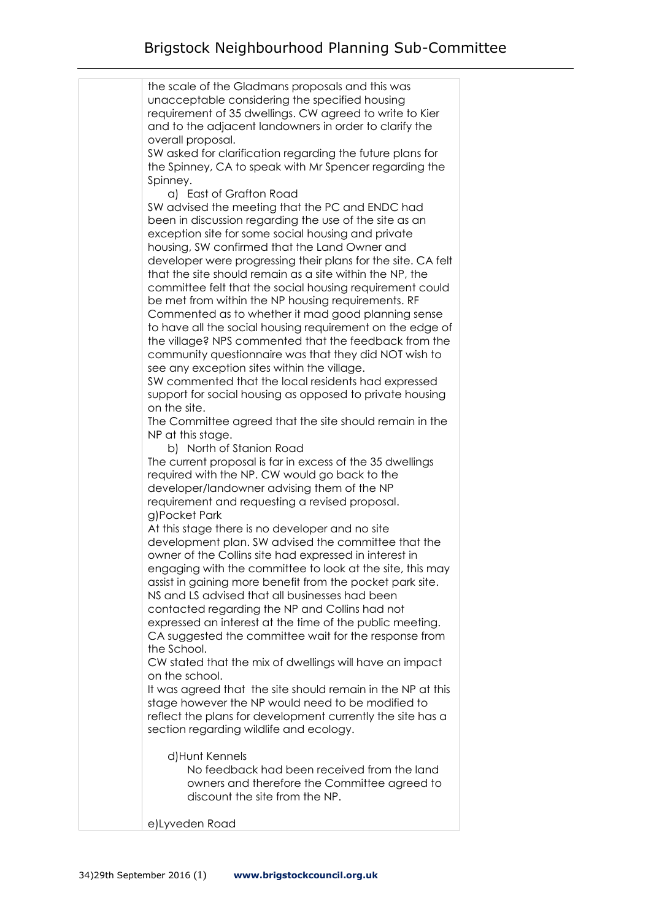| the scale of the Gladmans proposals and this was             |
|--------------------------------------------------------------|
| unacceptable considering the specified housing               |
| requirement of 35 dwellings. CW agreed to write to Kier      |
|                                                              |
| and to the adjacent landowners in order to clarify the       |
| overall proposal.                                            |
| SW asked for clarification regarding the future plans for    |
| the Spinney, CA to speak with Mr Spencer regarding the       |
| Spinney.                                                     |
| a) East of Grafton Road                                      |
| SW advised the meeting that the PC and ENDC had              |
| been in discussion regarding the use of the site as an       |
| exception site for some social housing and private           |
| housing, SW confirmed that the Land Owner and                |
| developer were progressing their plans for the site. CA felt |
| that the site should remain as a site within the NP, the     |
| committee felt that the social housing requirement could     |
| be met from within the NP housing requirements. RF           |
| Commented as to whether it mad good planning sense           |
| to have all the social housing requirement on the edge of    |
| the village? NPS commented that the feedback from the        |
| community questionnaire was that they did NOT wish to        |
| see any exception sites within the village.                  |
| SW commented that the local residents had expressed          |
|                                                              |
| support for social housing as opposed to private housing     |
| on the site.                                                 |
| The Committee agreed that the site should remain in the      |
| NP at this stage.                                            |
| b) North of Stanion Road                                     |
| The current proposal is far in excess of the 35 dwellings    |
| required with the NP. CW would go back to the                |
| developer/landowner advising them of the NP                  |
| requirement and requesting a revised proposal.               |
| g)Pocket Park                                                |
| At this stage there is no developer and no site              |
| development plan. SW advised the committee that the          |
| owner of the Collins site had expressed in interest in       |
| engaging with the committee to look at the site, this may    |
| assist in gaining more benefit from the pocket park site.    |
| NS and LS advised that all businesses had been               |
| contacted regarding the NP and Collins had not               |
| expressed an interest at the time of the public meeting.     |
| CA suggested the committee wait for the response from        |
| the School.                                                  |
| CW stated that the mix of dwellings will have an impact      |
| on the school.                                               |
| It was agreed that the site should remain in the NP at this  |
| stage however the NP would need to be modified to            |
| reflect the plans for development currently the site has a   |
|                                                              |
| section regarding wildlife and ecology.                      |
|                                                              |
| d)Hunt Kennels                                               |
| No feedback had been received from the land                  |
| owners and therefore the Committee agreed to                 |
| discount the site from the NP.                               |
|                                                              |
| e)Lyveden Road                                               |